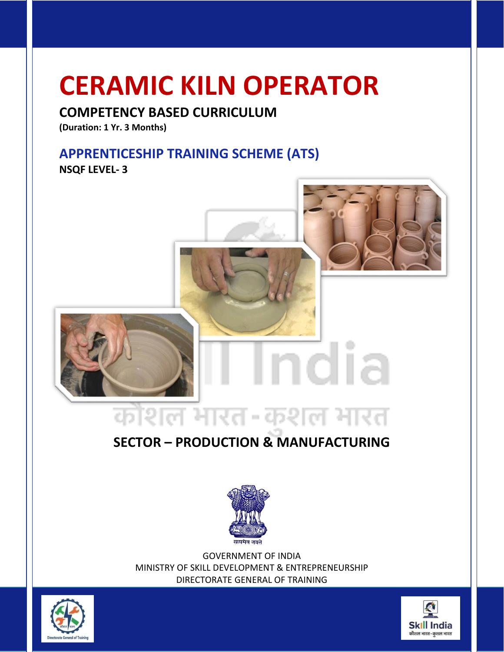# **CERAMIC KILN OPERATOR**

## **COMPETENCY BASED CURRICULUM**

**(Duration: 1 Yr. 3 Months)**

# **APPRENTICESHIP TRAINING SCHEME (ATS)**

**NSQF LEVEL- 3**



# **SECTOR – PRODUCTION & MANUFACTURING**



GOVERNMENT OF INDIA MINISTRY OF SKILL DEVELOPMENT & ENTREPRENEURSHIP DIRECTORATE GENERAL OF TRAINING



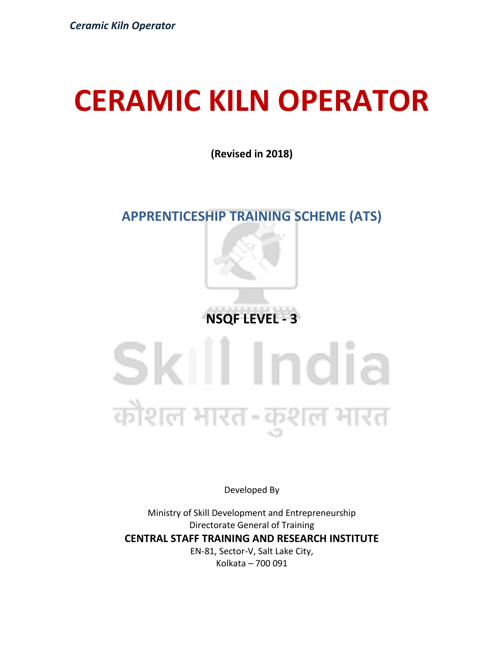# **CERAMIC KILN OPERATOR**

**(Revised in 2018)**

# **APPRENTICESHIP TRAINING SCHEME (ATS)**



# Skill India कौशल भारत-कुशल भारत

Developed By

Ministry of Skill Development and Entrepreneurship Directorate General of Training **CENTRAL STAFF TRAINING AND RESEARCH INSTITUTE** EN-81, Sector-V, Salt Lake City, Kolkata – 700 091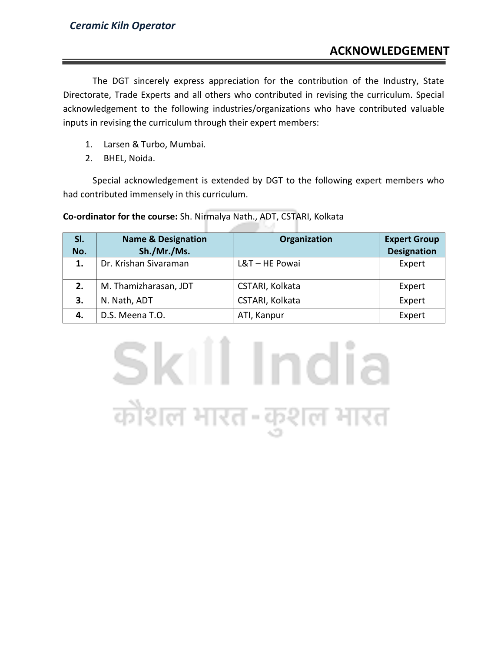The DGT sincerely express appreciation for the contribution of the Industry, State Directorate, Trade Experts and all others who contributed in revising the curriculum. Special acknowledgement to the following industries/organizations who have contributed valuable inputs in revising the curriculum through their expert members:

- 1. Larsen & Turbo, Mumbai.
- 2. BHEL, Noida.

Special acknowledgement is extended by DGT to the following expert members who had contributed immensely in this curriculum.

**Co-ordinator for the course:** Sh. Nirmalya Nath., ADT, CSTARI, Kolkata

| SI.<br>No. | <b>Name &amp; Designation</b><br>Sh./Mr./Ms. | Organization    | <b>Expert Group</b><br><b>Designation</b> |
|------------|----------------------------------------------|-----------------|-------------------------------------------|
| 1.         | Dr. Krishan Sivaraman                        | L&T-HE Powai    | Expert                                    |
| 2.         | M. Thamizharasan, JDT                        | CSTARI, Kolkata | Expert                                    |
| 3.         | N. Nath, ADT                                 | CSTARI, Kolkata | Expert                                    |
| 4.         | D.S. Meena T.O.                              | ATI, Kanpur     | Expert                                    |

Skill India

कौशल भारत-कुशल भारत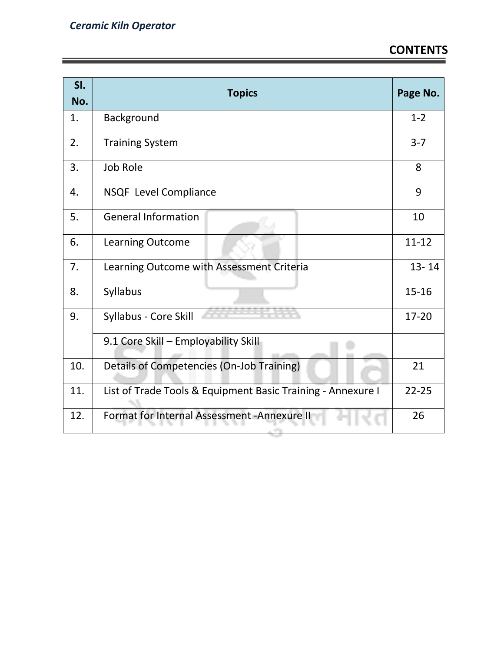| SI.<br>No. | <b>Topics</b>                                               | Page No.  |
|------------|-------------------------------------------------------------|-----------|
| 1.         | Background                                                  | $1 - 2$   |
| 2.         | <b>Training System</b>                                      | $3 - 7$   |
| 3.         | <b>Job Role</b>                                             | 8         |
| 4.         | NSQF Level Compliance                                       | 9         |
| 5.         | <b>General Information</b>                                  | 10        |
| 6.         | <b>Learning Outcome</b>                                     | $11 - 12$ |
| 7.         | Learning Outcome with Assessment Criteria                   | $13 - 14$ |
| 8.         | Syllabus                                                    | $15 - 16$ |
| 9.         | Syllabus - Core Skill                                       | 17-20     |
|            | 9.1 Core Skill - Employability Skill                        |           |
| 10.        | Details of Competencies (On-Job Training)                   | 21        |
| 11.        | List of Trade Tools & Equipment Basic Training - Annexure I | $22 - 25$ |
| 12.        | Format for Internal Assessment - Annexure II                | 26        |

الباراة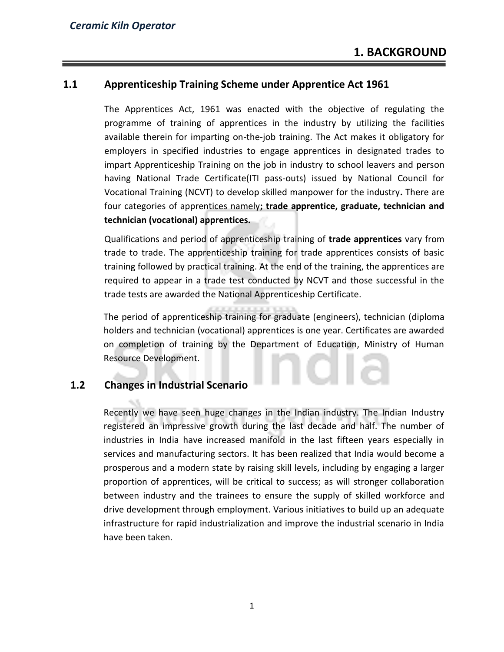### **1.1 Apprenticeship Training Scheme under Apprentice Act 1961**

The Apprentices Act, 1961 was enacted with the objective of regulating the programme of training of apprentices in the industry by utilizing the facilities available therein for imparting on-the-job training. The Act makes it obligatory for employers in specified industries to engage apprentices in designated trades to impart Apprenticeship Training on the job in industry to school leavers and person having National Trade Certificate(ITI pass-outs) issued by National Council for Vocational Training (NCVT) to develop skilled manpower for the industry**.** There are four categories of apprentices namely**; trade apprentice, graduate, technician and technician (vocational) apprentices.** 

Qualifications and period of apprenticeship training of **trade apprentices** vary from trade to trade. The apprenticeship training for trade apprentices consists of basic training followed by practical training. At the end of the training, the apprentices are required to appear in a trade test conducted by NCVT and those successful in the trade tests are awarded the National Apprenticeship Certificate.

The period of apprenticeship training for graduate (engineers), technician (diploma holders and technician (vocational) apprentices is one year. Certificates are awarded on completion of training by the Department of Education, Ministry of Human Resource Development.

### **1.2 Changes in Industrial Scenario**

Recently we have seen huge changes in the Indian industry. The Indian Industry registered an impressive growth during the last decade and half. The number of industries in India have increased manifold in the last fifteen years especially in services and manufacturing sectors. It has been realized that India would become a prosperous and a modern state by raising skill levels, including by engaging a larger proportion of apprentices, will be critical to success; as will stronger collaboration between industry and the trainees to ensure the supply of skilled workforce and drive development through employment. Various initiatives to build up an adequate infrastructure for rapid industrialization and improve the industrial scenario in India have been taken.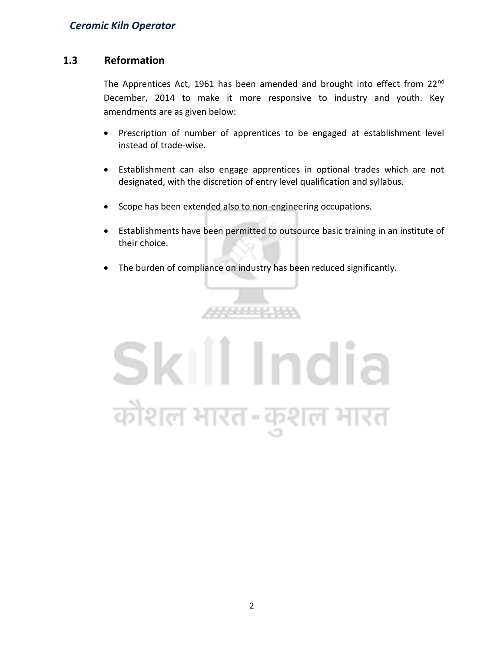### **1.3 Reformation**

The Apprentices Act, 1961 has been amended and brought into effect from 22<sup>nd</sup> December, 2014 to make it more responsive to industry and youth. Key amendments are as given below:

- Prescription of number of apprentices to be engaged at establishment level instead of trade-wise.
- Establishment can also engage apprentices in optional trades which are not designated, with the discretion of entry level qualification and syllabus.
- Scope has been extended also to non-engineering occupations.
- Establishments have been permitted to outsource basic training in an institute of their choice.
- The burden of compliance on industry has been reduced significantly.

,,,,,,,,,,,,

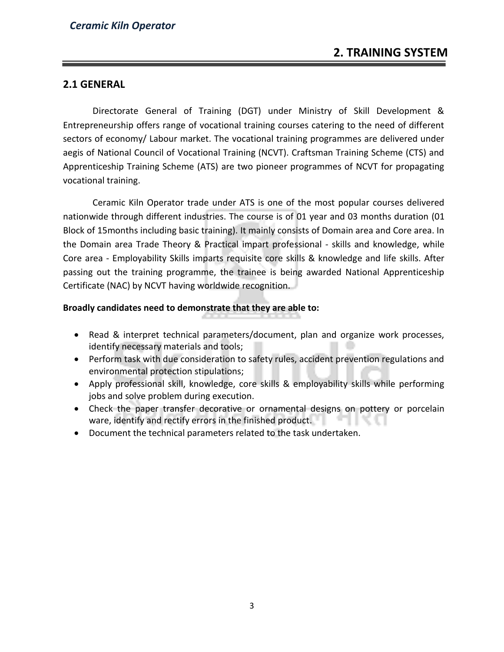### **2.1 GENERAL**

Directorate General of Training (DGT) under Ministry of Skill Development & Entrepreneurship offers range of vocational training courses catering to the need of different sectors of economy/ Labour market. The vocational training programmes are delivered under aegis of National Council of Vocational Training (NCVT). Craftsman Training Scheme (CTS) and Apprenticeship Training Scheme (ATS) are two pioneer programmes of NCVT for propagating vocational training.

Ceramic Kiln Operator trade under ATS is one of the most popular courses delivered nationwide through different industries. The course is of 01 year and 03 months duration (01 Block of 15months including basic training). It mainly consists of Domain area and Core area. In the Domain area Trade Theory & Practical impart professional - skills and knowledge, while Core area - Employability Skills imparts requisite core skills & knowledge and life skills. After passing out the training programme, the trainee is being awarded National Apprenticeship Certificate (NAC) by NCVT having worldwide recognition.

### **Broadly candidates need to demonstrate that they are able to:**

- Read & interpret technical parameters/document, plan and organize work processes, identify necessary materials and tools;
- Perform task with due consideration to safety rules, accident prevention regulations and environmental protection stipulations;
- Apply professional skill, knowledge, core skills & employability skills while performing jobs and solve problem during execution.
- Check the paper transfer decorative or ornamental designs on pottery or porcelain ware, identify and rectify errors in the finished product.
- Document the technical parameters related to the task undertaken.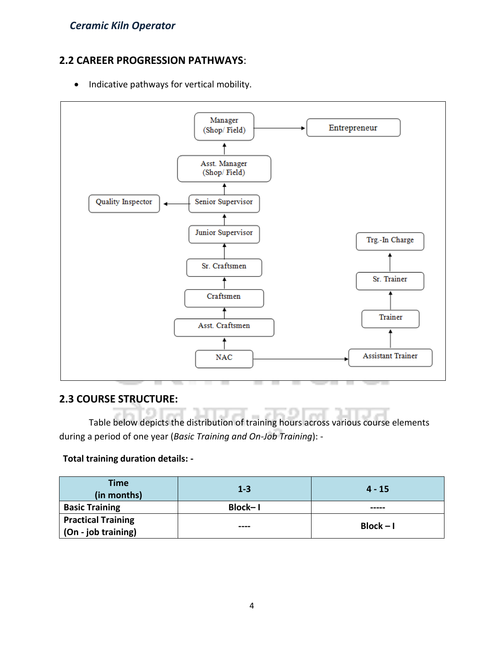### **2.2 CAREER PROGRESSION PATHWAYS**:

• Indicative pathways for vertical mobility.



### **2.3 COURSE STRUCTURE:**

Table below depicts the distribution of training hours across various course elements during a period of one year (*Basic Training and On-Job Training*): -

### **Total training duration details: -**

| <b>Time</b><br>(in months)                               | $1 - 3$        | $4 - 15$    |
|----------------------------------------------------------|----------------|-------------|
| <b>Basic Training</b>                                    | <b>Block-1</b> | -----       |
| <b>Practical Training</b><br>$\vert$ (On - job training) | ----           | $Block - I$ |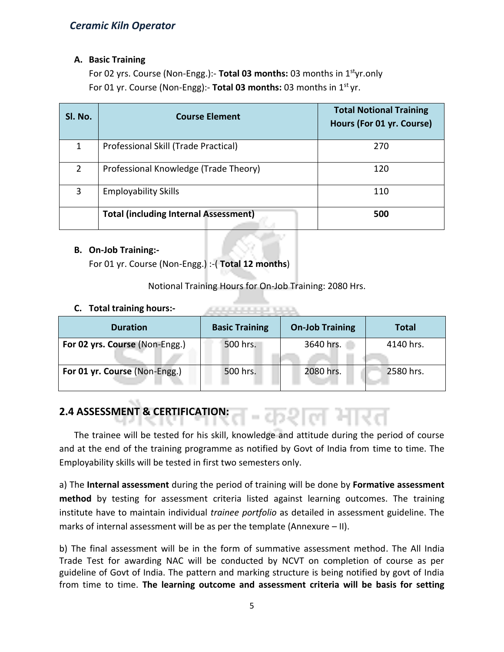### **A. Basic Training**

For 02 yrs. Course (Non-Engg.):- **Total 03 months:** 03 months in 1styr.only For 01 yr. Course (Non-Engg):- **Total 03 months:** 03 months in 1st yr.

| Sl. No.        | <b>Course Element</b>                        | <b>Total Notional Training</b><br>Hours (For 01 yr. Course) |
|----------------|----------------------------------------------|-------------------------------------------------------------|
| 1              | Professional Skill (Trade Practical)         | 270                                                         |
| $\overline{2}$ | Professional Knowledge (Trade Theory)        | 120                                                         |
| 3              | <b>Employability Skills</b>                  | 110                                                         |
|                | <b>Total (including Internal Assessment)</b> | 500                                                         |

### **B. On-Job Training:-**

For 01 yr. Course (Non-Engg.) :-( **Total 12 months**)

Notional Training Hours for On-Job Training: 2080 Hrs.

ARRESTS MADE BANK

### **C. Total training hours:-**

| <b>Duration</b>                | <b>Basic Training</b> | <b>On-Job Training</b> | <b>Total</b> |
|--------------------------------|-----------------------|------------------------|--------------|
| For 02 yrs. Course (Non-Engg.) | 500 hrs.              | 3640 hrs.              | 4140 hrs.    |
| For 01 yr. Course (Non-Engg.)  | 500 hrs.              | 2080 hrs.              | 2580 hrs.    |

#### **2.4 ASSESSMENT & CERTIFICATION:** ーイりど

The trainee will be tested for his skill, knowledge and attitude during the period of course and at the end of the training programme as notified by Govt of India from time to time. The Employability skills will be tested in first two semesters only.

a) The **Internal assessment** during the period of training will be done by **Formative assessment method** by testing for assessment criteria listed against learning outcomes. The training institute have to maintain individual *trainee portfolio* as detailed in assessment guideline. The marks of internal assessment will be as per the template (Annexure – II).

b) The final assessment will be in the form of summative assessment method. The All India Trade Test for awarding NAC will be conducted by NCVT on completion of course as per guideline of Govt of India. The pattern and marking structure is being notified by govt of India from time to time. **The learning outcome and assessment criteria will be basis for setting**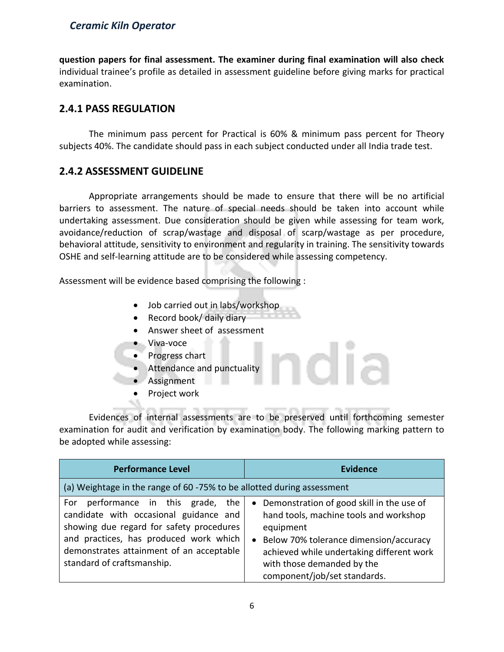### *Ceramic Kiln Operator*

**question papers for final assessment. The examiner during final examination will also check**  individual trainee's profile as detailed in assessment guideline before giving marks for practical examination.

### **2.4.1 PASS REGULATION**

The minimum pass percent for Practical is 60% & minimum pass percent for Theory subjects 40%. The candidate should pass in each subject conducted under all India trade test.

### **2.4.2 ASSESSMENT GUIDELINE**

Appropriate arrangements should be made to ensure that there will be no artificial barriers to assessment. The nature of special needs should be taken into account while undertaking assessment. Due consideration should be given while assessing for team work, avoidance/reduction of scrap/wastage and disposal of scarp/wastage as per procedure, behavioral attitude, sensitivity to environment and regularity in training. The sensitivity towards OSHE and self-learning attitude are to be considered while assessing competency.

Assessment will be evidence based comprising the following :

- Job carried out in labs/workshop
- Record book/ daily diary
- Answer sheet of assessment
- Viva-voce
- Progress chart
- Attendance and punctuality
- Assignment
- Project work

Evidences of internal assessments are to be preserved until forthcoming semester examination for audit and verification by examination body. The following marking pattern to be adopted while assessing:

dia

| <b>Performance Level</b>                                                                                                                                                                                                                        | Evidence                                                                                                                                                                                                                                                  |  |  |  |
|-------------------------------------------------------------------------------------------------------------------------------------------------------------------------------------------------------------------------------------------------|-----------------------------------------------------------------------------------------------------------------------------------------------------------------------------------------------------------------------------------------------------------|--|--|--|
| (a) Weightage in the range of 60 -75% to be allotted during assessment                                                                                                                                                                          |                                                                                                                                                                                                                                                           |  |  |  |
| performance in this grade, the<br>For<br>candidate with occasional guidance and<br>showing due regard for safety procedures<br>and practices, has produced work which<br>demonstrates attainment of an acceptable<br>standard of craftsmanship. | • Demonstration of good skill in the use of<br>hand tools, machine tools and workshop<br>equipment<br>• Below 70% tolerance dimension/accuracy<br>achieved while undertaking different work<br>with those demanded by the<br>component/job/set standards. |  |  |  |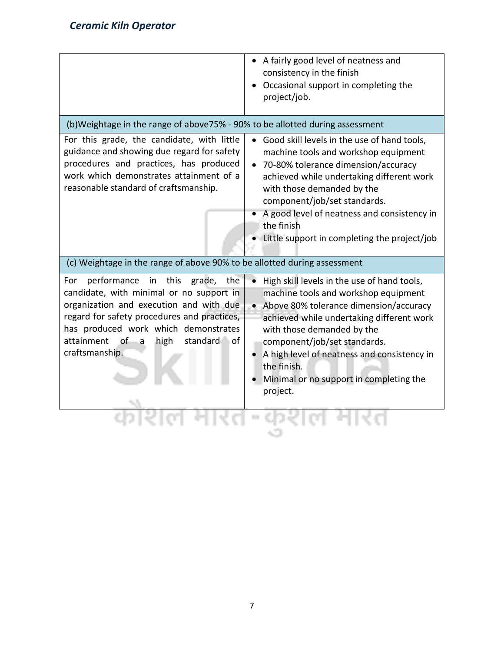|                                                                                                                                                                                                                                                                                                | A fairly good level of neatness and<br>consistency in the finish<br>Occasional support in completing the<br>project/job.                                                                                                                                                                                                                                        |
|------------------------------------------------------------------------------------------------------------------------------------------------------------------------------------------------------------------------------------------------------------------------------------------------|-----------------------------------------------------------------------------------------------------------------------------------------------------------------------------------------------------------------------------------------------------------------------------------------------------------------------------------------------------------------|
| (b)Weightage in the range of above75% - 90% to be allotted during assessment                                                                                                                                                                                                                   |                                                                                                                                                                                                                                                                                                                                                                 |
| For this grade, the candidate, with little<br>guidance and showing due regard for safety<br>procedures and practices, has produced<br>work which demonstrates attainment of a<br>reasonable standard of craftsmanship.                                                                         | Good skill levels in the use of hand tools,<br>machine tools and workshop equipment<br>70-80% tolerance dimension/accuracy<br>achieved while undertaking different work<br>with those demanded by the<br>component/job/set standards.<br>A good level of neatness and consistency in<br>the finish<br>• Little support in completing the project/job            |
| (c) Weightage in the range of above 90% to be allotted during assessment                                                                                                                                                                                                                       |                                                                                                                                                                                                                                                                                                                                                                 |
| performance<br>in this<br>grade,<br>the<br>For<br>candidate, with minimal or no support in<br>organization and execution and with due<br>regard for safety procedures and practices,<br>has produced work which demonstrates<br>of<br>attainment<br>high<br>standard of<br>a<br>craftsmanship. | High skill levels in the use of hand tools,<br>machine tools and workshop equipment<br>• Above 80% tolerance dimension/accuracy<br>achieved while undertaking different work<br>with those demanded by the<br>component/job/set standards.<br>A high level of neatness and consistency in<br>the finish.<br>Minimal or no support in completing the<br>project. |
|                                                                                                                                                                                                                                                                                                |                                                                                                                                                                                                                                                                                                                                                                 |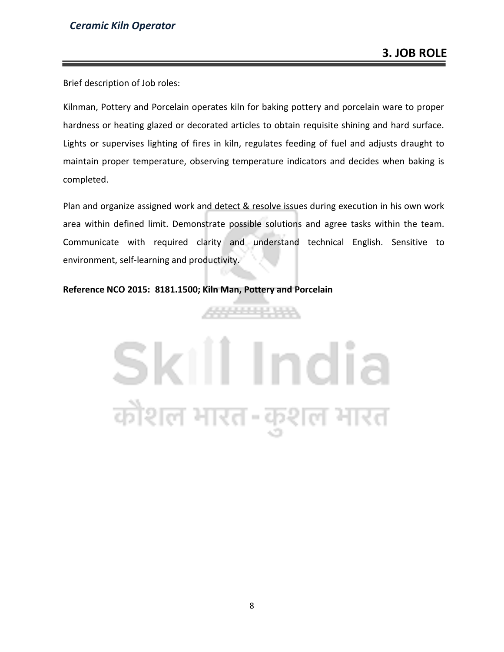Brief description of Job roles:

Kilnman, Pottery and Porcelain operates kiln for baking pottery and porcelain ware to proper hardness or heating glazed or decorated articles to obtain requisite shining and hard surface. Lights or supervises lighting of fires in kiln, regulates feeding of fuel and adjusts draught to maintain proper temperature, observing temperature indicators and decides when baking is completed.

Plan and organize assigned work and detect & resolve issues during execution in his own work area within defined limit. Demonstrate possible solutions and agree tasks within the team. Communicate with required clarity and understand technical English. Sensitive to environment, self-learning and productivity.

899999999

#### **Reference NCO 2015: 8181.1500; Kiln Man, Pottery and Porcelain**

# Skill India कौशल भारत-कुशल भारत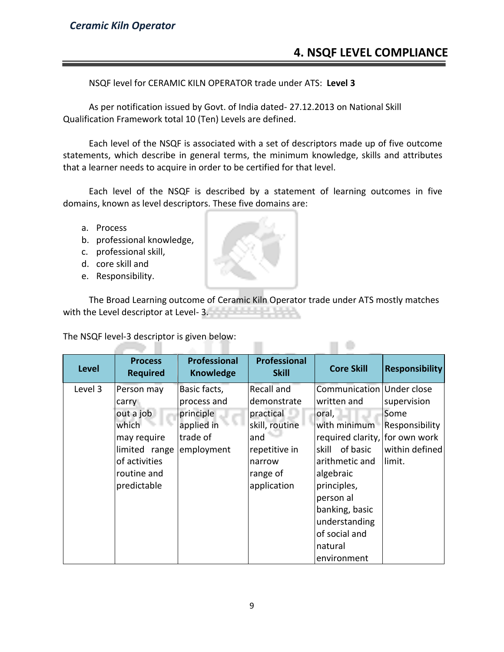NSQF level for CERAMIC KILN OPERATOR trade under ATS: **Level 3**

As per notification issued by Govt. of India dated- 27.12.2013 on National Skill Qualification Framework total 10 (Ten) Levels are defined.

Each level of the NSQF is associated with a set of descriptors made up of five outcome statements, which describe in general terms, the minimum knowledge, skills and attributes that a learner needs to acquire in order to be certified for that level.

Each level of the NSQF is described by a statement of learning outcomes in five domains, known as level descriptors. These five domains are:

- a. Process
- b. professional knowledge,
- c. professional skill,
- d. core skill and
- e. Responsibility.

The Broad Learning outcome of Ceramic Kiln Operator trade under ATS mostly matches with the Level descriptor at Level-3.

 $\Box$ 

The NSQF level-3 descriptor is given below: 75 H

| <b>Level</b> | <b>Process</b><br><b>Required</b>                                                                                        | Professional<br><b>Knowledge</b>                                                 | <b>Professional</b><br><b>Skill</b>                                                                                   | <b>Core Skill</b>                                                                                                                                                                                                                                                 | <b>Responsibility</b>                                             |
|--------------|--------------------------------------------------------------------------------------------------------------------------|----------------------------------------------------------------------------------|-----------------------------------------------------------------------------------------------------------------------|-------------------------------------------------------------------------------------------------------------------------------------------------------------------------------------------------------------------------------------------------------------------|-------------------------------------------------------------------|
| Level 3      | Person may<br>carry<br>out a job<br>which<br>may require<br>limited range<br>of activities<br>routine and<br>predictable | Basic facts,<br>process and<br>principle<br>applied in<br>trade of<br>employment | Recall and<br>demonstrate<br>practical<br>skill, routine<br>and<br>repetitive in<br>narrow<br>range of<br>application | Communication Under close<br>written and<br>oral,<br>with minimum<br>required clarity, for own work<br>of basic<br>skill<br>arithmetic and<br>algebraic<br>principles,<br>person al<br>banking, basic<br>understanding<br>of social and<br>natural<br>environment | supervision<br>Some<br>Responsibility<br>within defined<br>limit. |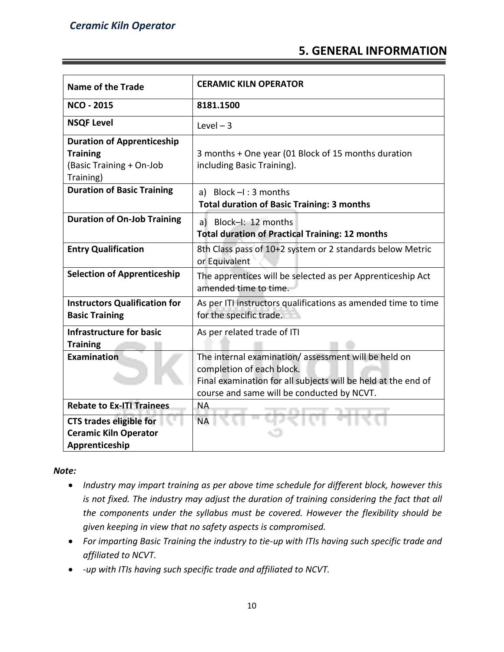### **5. GENERAL INFORMATION**

| <b>Name of the Trade</b>                                                                      | <b>CERAMIC KILN OPERATOR</b>                                                                                                                                                                    |
|-----------------------------------------------------------------------------------------------|-------------------------------------------------------------------------------------------------------------------------------------------------------------------------------------------------|
| <b>NCO - 2015</b>                                                                             | 8181.1500                                                                                                                                                                                       |
| <b>NSQF Level</b>                                                                             | Level $-3$                                                                                                                                                                                      |
| <b>Duration of Apprenticeship</b><br><b>Training</b><br>(Basic Training + On-Job<br>Training) | 3 months + One year (01 Block of 15 months duration<br>including Basic Training).                                                                                                               |
| <b>Duration of Basic Training</b>                                                             | a) Block $-I$ : 3 months<br><b>Total duration of Basic Training: 3 months</b>                                                                                                                   |
| <b>Duration of On-Job Training</b>                                                            | a) Block-I: 12 months<br><b>Total duration of Practical Training: 12 months</b>                                                                                                                 |
| <b>Entry Qualification</b>                                                                    | 8th Class pass of 10+2 system or 2 standards below Metric<br>or Equivalent                                                                                                                      |
| <b>Selection of Apprenticeship</b>                                                            | The apprentices will be selected as per Apprenticeship Act<br>amended time to time.                                                                                                             |
| <b>Instructors Qualification for</b><br><b>Basic Training</b>                                 | As per ITI instructors qualifications as amended time to time<br>for the specific trade.                                                                                                        |
| <b>Infrastructure for basic</b><br><b>Training</b>                                            | As per related trade of ITI                                                                                                                                                                     |
| <b>Examination</b>                                                                            | The internal examination/assessment will be held on<br>completion of each block.<br>Final examination for all subjects will be held at the end of<br>course and same will be conducted by NCVT. |
| <b>Rebate to Ex-ITI Trainees</b>                                                              | <b>NA</b>                                                                                                                                                                                       |
| <b>CTS trades eligible for</b><br><b>Ceramic Kiln Operator</b><br>Apprenticeship              | <b>NA</b>                                                                                                                                                                                       |

*Note:*

- *Industry may impart training as per above time schedule for different block, however this is not fixed. The industry may adjust the duration of training considering the fact that all the components under the syllabus must be covered. However the flexibility should be given keeping in view that no safety aspects is compromised.*
- *For imparting Basic Training the industry to tie-up with ITIs having such specific trade and affiliated to NCVT.*
- *-up with ITIs having such specific trade and affiliated to NCVT.*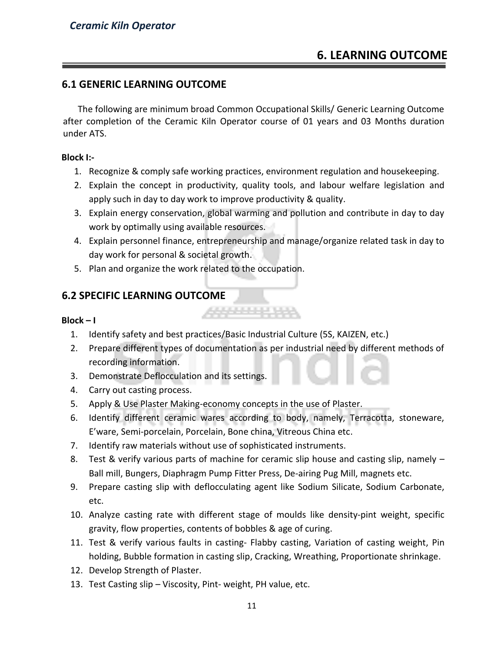### **6.1 GENERIC LEARNING OUTCOME**

The following are minimum broad Common Occupational Skills/ Generic Learning Outcome after completion of the Ceramic Kiln Operator course of 01 years and 03 Months duration under ATS.

### **Block I:-**

- 1. Recognize & comply safe working practices, environment regulation and housekeeping.
- 2. Explain the concept in productivity, quality tools, and labour welfare legislation and apply such in day to day work to improve productivity & quality.
- 3. Explain energy conservation, global warming and pollution and contribute in day to day work by optimally using available resources.
- 4. Explain personnel finance, entrepreneurship and manage/organize related task in day to day work for personal & societal growth.
- 5. Plan and organize the work related to the occupation.

### **6.2 SPECIFIC LEARNING OUTCOME**

### $Block - I$

- 1. Identify safety and best practices/Basic Industrial Culture (5S, KAIZEN, etc.)
- 2. Prepare different types of documentation as per industrial need by different methods of recording information.

التواريخ والمراجا

- 3. Demonstrate Deflocculation and its settings.
- 4. Carry out casting process.
- 5. Apply & Use Plaster Making-economy concepts in the use of Plaster.
- 6. Identify different ceramic wares according to body, namely, Terracotta, stoneware, E'ware, Semi-porcelain, Porcelain, Bone china, Vitreous China etc.
- 7. Identify raw materials without use of sophisticated instruments.
- 8. Test & verify various parts of machine for ceramic slip house and casting slip, namely Ball mill, Bungers, Diaphragm Pump Fitter Press, De-airing Pug Mill, magnets etc.
- 9. Prepare casting slip with deflocculating agent like Sodium Silicate, Sodium Carbonate, etc.
- 10. Analyze casting rate with different stage of moulds like density-pint weight, specific gravity, flow properties, contents of bobbles & age of curing.
- 11. Test & verify various faults in casting- Flabby casting, Variation of casting weight, Pin holding, Bubble formation in casting slip, Cracking, Wreathing, Proportionate shrinkage.
- 12. Develop Strength of Plaster.
- 13. Test Casting slip Viscosity, Pint- weight, PH value, etc.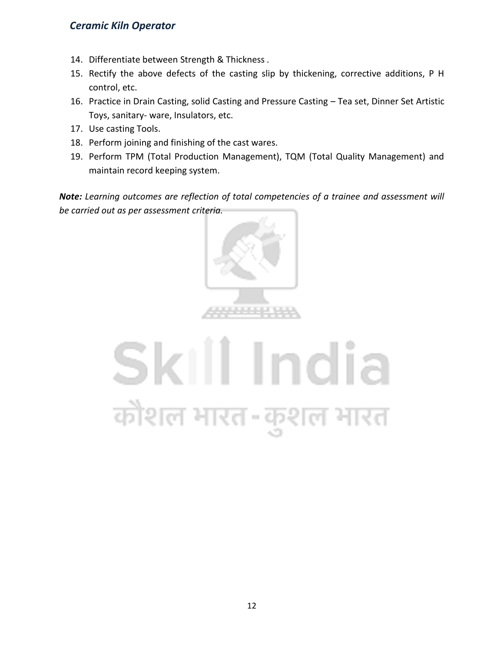### *Ceramic Kiln Operator*

- 14. Differentiate between Strength & Thickness.
- 15. Rectify the above defects of the casting slip by thickening, corrective additions, P H control, etc.
- 16. Practice in Drain Casting, solid Casting and Pressure Casting Tea set, Dinner Set Artistic Toys, sanitary- ware, Insulators, etc.
- 17. Use casting Tools.
- 18. Perform joining and finishing of the cast wares.
- 19. Perform TPM (Total Production Management), TQM (Total Quality Management) and maintain record keeping system.

*Note: Learning outcomes are reflection of total competencies of a trainee and assessment will be carried out as per assessment criteria.*



# Skill India कोशल भारत-कुशल भारत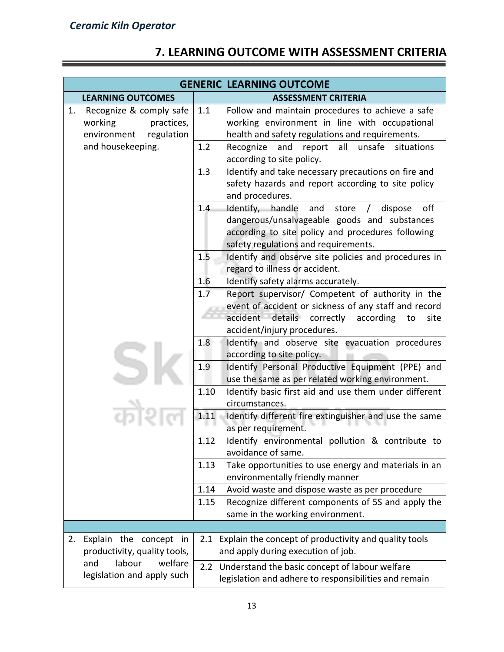## **7. LEARNING OUTCOME WITH ASSESSMENT CRITERIA**

| <b>GENERIC LEARNING OUTCOME</b>                                                     |                                                                                                                                                                                                                    |  |  |  |
|-------------------------------------------------------------------------------------|--------------------------------------------------------------------------------------------------------------------------------------------------------------------------------------------------------------------|--|--|--|
| <b>LEARNING OUTCOMES</b>                                                            | <b>ASSESSMENT CRITERIA</b>                                                                                                                                                                                         |  |  |  |
| Recognize & comply safe<br>1.<br>working<br>practices,<br>environment<br>regulation | 1.1<br>Follow and maintain procedures to achieve a safe<br>working environment in line with occupational<br>health and safety regulations and requirements.                                                        |  |  |  |
| and housekeeping.                                                                   | 1.2<br>Recognize<br>and<br>all<br>unsafe<br>situations<br>report<br>according to site policy.                                                                                                                      |  |  |  |
|                                                                                     | Identify and take necessary precautions on fire and<br>1.3<br>safety hazards and report according to site policy<br>and procedures.                                                                                |  |  |  |
|                                                                                     | 1.4<br>Identify, handle<br>off<br>and<br>store<br>dispose<br>$\prime$<br>dangerous/unsalvageable goods and substances<br>according to site policy and procedures following<br>safety regulations and requirements. |  |  |  |
|                                                                                     | 1.5<br>Identify and observe site policies and procedures in<br>regard to illness or accident.                                                                                                                      |  |  |  |
|                                                                                     | 1.6<br>Identify safety alarms accurately.                                                                                                                                                                          |  |  |  |
|                                                                                     | 1.7<br>Report supervisor/ Competent of authority in the<br>event of accident or sickness of any staff and record<br>accident details correctly<br>according<br>site<br>to                                          |  |  |  |
|                                                                                     | accident/injury procedures.                                                                                                                                                                                        |  |  |  |
|                                                                                     | Identify and observe site evacuation procedures<br>1.8<br>according to site policy.                                                                                                                                |  |  |  |
|                                                                                     | 1.9<br>Identify Personal Productive Equipment (PPE) and<br>use the same as per related working environment.                                                                                                        |  |  |  |
|                                                                                     | 1.10<br>Identify basic first aid and use them under different<br>circumstances.                                                                                                                                    |  |  |  |
|                                                                                     | 1.11<br>Identify different fire extinguisher and use the same<br>as per requirement.                                                                                                                               |  |  |  |
|                                                                                     | 1.12<br>Identify environmental pollution & contribute to<br>avoidance of same.                                                                                                                                     |  |  |  |
|                                                                                     | 1.13<br>Take opportunities to use energy and materials in an<br>environmentally friendly manner                                                                                                                    |  |  |  |
|                                                                                     | 1.14<br>Avoid waste and dispose waste as per procedure                                                                                                                                                             |  |  |  |
|                                                                                     | Recognize different components of 5S and apply the<br>1.15<br>same in the working environment.                                                                                                                     |  |  |  |
|                                                                                     |                                                                                                                                                                                                                    |  |  |  |
| Explain the concept in<br>2.<br>productivity, quality tools,                        | Explain the concept of productivity and quality tools<br>2.1<br>and apply during execution of job.                                                                                                                 |  |  |  |
| labour<br>and<br>welfare<br>legislation and apply such                              | 2.2 Understand the basic concept of labour welfare<br>legislation and adhere to responsibilities and remain                                                                                                        |  |  |  |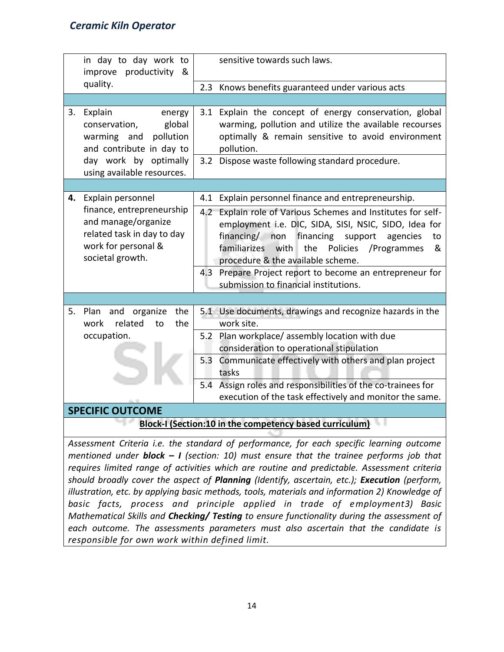### *Ceramic Kiln Operator*

|    | in day to day work to<br>improve productivity<br>&                                                                                             | sensitive towards such laws.                                                                                                                                                                                                                                                                                                                                                                                                                       |  |  |  |
|----|------------------------------------------------------------------------------------------------------------------------------------------------|----------------------------------------------------------------------------------------------------------------------------------------------------------------------------------------------------------------------------------------------------------------------------------------------------------------------------------------------------------------------------------------------------------------------------------------------------|--|--|--|
|    | quality.                                                                                                                                       | 2.3 Knows benefits guaranteed under various acts                                                                                                                                                                                                                                                                                                                                                                                                   |  |  |  |
|    |                                                                                                                                                |                                                                                                                                                                                                                                                                                                                                                                                                                                                    |  |  |  |
| 3. | Explain<br>energy<br>global<br>conservation,<br>warming and<br>pollution<br>and contribute in day to<br>day work by optimally                  | 3.1 Explain the concept of energy conservation, global<br>warming, pollution and utilize the available recourses<br>optimally & remain sensitive to avoid environment<br>pollution.<br>Dispose waste following standard procedure.<br>3.2                                                                                                                                                                                                          |  |  |  |
|    | using available resources.                                                                                                                     |                                                                                                                                                                                                                                                                                                                                                                                                                                                    |  |  |  |
|    |                                                                                                                                                |                                                                                                                                                                                                                                                                                                                                                                                                                                                    |  |  |  |
| 4. | Explain personnel<br>finance, entrepreneurship<br>and manage/organize<br>related task in day to day<br>work for personal &<br>societal growth. | 4.1<br>Explain personnel finance and entrepreneurship.<br>Explain role of Various Schemes and Institutes for self-<br>$4.2 -$<br>employment i.e. DIC, SIDA, SISI, NSIC, SIDO, Idea for<br>financing/ non<br>financing support<br>agencies<br>to<br>familiarizes with the<br>Policies /Programmes<br>&<br>procedure & the available scheme.<br>Prepare Project report to become an entrepreneur for<br>4.3<br>submission to financial institutions. |  |  |  |
|    | 5. Plan and organize<br>the<br>related<br>the<br>work<br>to<br>occupation.                                                                     | 5.1 Use documents, drawings and recognize hazards in the<br>work site.<br>Plan workplace/ assembly location with due<br>5.2<br>consideration to operational stipulation<br>Communicate effectively with others and plan project<br>5.3<br>tasks<br>5.4 Assign roles and responsibilities of the co-trainees for<br>execution of the task effectively and monitor the same.                                                                         |  |  |  |
|    | <b>SPECIFIC OUTCOME</b>                                                                                                                        |                                                                                                                                                                                                                                                                                                                                                                                                                                                    |  |  |  |
|    | Block-I (Section:10 in the competency based curriculum)                                                                                        |                                                                                                                                                                                                                                                                                                                                                                                                                                                    |  |  |  |
|    |                                                                                                                                                |                                                                                                                                                                                                                                                                                                                                                                                                                                                    |  |  |  |

*Assessment Criteria i.e. the standard of performance, for each specific learning outcome mentioned under block – I (section: 10) must ensure that the trainee performs job that requires limited range of activities which are routine and predictable. Assessment criteria should broadly cover the aspect of Planning (Identify, ascertain, etc.); Execution (perform, illustration, etc. by applying basic methods, tools, materials and information 2) Knowledge of basic facts, process and principle applied in trade of employment3) Basic Mathematical Skills and Checking/ Testing to ensure functionality during the assessment of each outcome. The assessments parameters must also ascertain that the candidate is responsible for own work within defined limit.*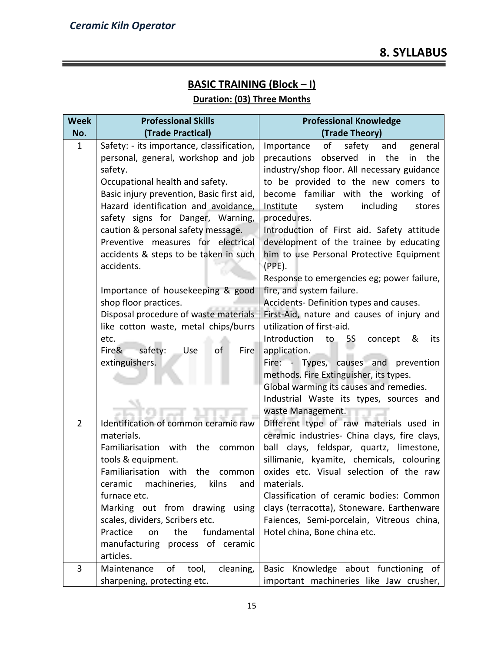### **BASIC TRAINING (Block – I)**

### **Duration: (03) Three Months**

| No.<br>(Trade Practical)<br>(Trade Theory)<br>$\mathbf{1}$<br>Safety: - its importance, classification,<br>general<br>Importance<br>of<br>safety<br>and |     |
|---------------------------------------------------------------------------------------------------------------------------------------------------------|-----|
|                                                                                                                                                         |     |
| personal, general, workshop and job<br>precautions<br>observed in the<br>in                                                                             | the |
| industry/shop floor. All necessary guidance<br>safety.                                                                                                  |     |
| to be provided to the new comers to<br>Occupational health and safety.                                                                                  |     |
| Basic injury prevention, Basic first aid,<br>become familiar with the working of                                                                        |     |
| Hazard identification and avoidance,<br>Institute<br>including<br>system<br>stores                                                                      |     |
| safety signs for Danger, Warning,<br>procedures.                                                                                                        |     |
| caution & personal safety message.<br>Introduction of First aid. Safety attitude                                                                        |     |
| Preventive measures for electrical<br>development of the trainee by educating                                                                           |     |
| accidents & steps to be taken in such<br>him to use Personal Protective Equipment<br>$(PPE)$ .<br>accidents.                                            |     |
| Response to emergencies eg; power failure,                                                                                                              |     |
| Importance of housekeeping & good<br>fire, and system failure.                                                                                          |     |
| shop floor practices.<br>Accidents- Definition types and causes.                                                                                        |     |
| Disposal procedure of waste materials<br>First-Aid, nature and causes of injury and                                                                     |     |
| utilization of first-aid.<br>like cotton waste, metal chips/burrs                                                                                       |     |
| Introduction<br>etc.<br>to<br>5S<br>concept<br>&                                                                                                        | its |
| safety:<br>Fire&<br>Use<br>Fire<br>application.<br>of                                                                                                   |     |
| extinguishers.<br>Fire: - Types, causes and prevention                                                                                                  |     |
| methods. Fire Extinguisher, its types.                                                                                                                  |     |
| Global warming its causes and remedies.                                                                                                                 |     |
| Industrial Waste its types, sources and                                                                                                                 |     |
| waste Management.                                                                                                                                       |     |
| Identification of common ceramic raw<br>$\overline{2}$<br>Different type of raw materials used in                                                       |     |
| materials.<br>ceramic industries- China clays, fire clays,                                                                                              |     |
| Familiarisation with<br>the<br>ball clays, feldspar, quartz, limestone,<br>common                                                                       |     |
| sillimanie, kyamite, chemicals, colouring<br>tools & equipment.<br>oxides etc. Visual selection of the raw                                              |     |
| Familiarisation with<br>the<br>common                                                                                                                   |     |
| ceramic machineries, kilns and<br>materials.<br>Classification of ceramic bodies: Common<br>furnace etc.                                                |     |
| Marking out from drawing using<br>clays (terracotta), Stoneware. Earthenware                                                                            |     |
| scales, dividers, Scribers etc.<br>Faiences, Semi-porcelain, Vitreous china,                                                                            |     |
| Practice<br>fundamental<br>the<br>Hotel china, Bone china etc.<br>on                                                                                    |     |
| manufacturing process of ceramic                                                                                                                        |     |
| articles.                                                                                                                                               |     |
| 3<br>Basic Knowledge about functioning of<br>of<br>cleaning,<br>Maintenance<br>tool,                                                                    |     |
| important machineries like Jaw crusher,<br>sharpening, protecting etc.                                                                                  |     |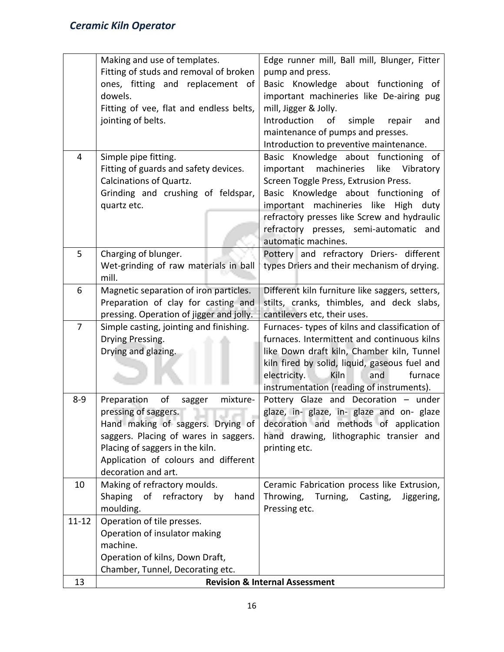|                | Making and use of templates.             | Edge runner mill, Ball mill, Blunger, Fitter    |  |  |  |  |  |  |
|----------------|------------------------------------------|-------------------------------------------------|--|--|--|--|--|--|
|                | Fitting of studs and removal of broken   | pump and press.                                 |  |  |  |  |  |  |
|                |                                          |                                                 |  |  |  |  |  |  |
|                | ones, fitting and replacement of         | Basic Knowledge about functioning of            |  |  |  |  |  |  |
|                | dowels.                                  | important machineries like De-airing pug        |  |  |  |  |  |  |
|                | Fitting of vee, flat and endless belts,  | mill, Jigger & Jolly.                           |  |  |  |  |  |  |
|                | jointing of belts.                       | Introduction<br>simple<br>of<br>repair<br>and   |  |  |  |  |  |  |
|                |                                          | maintenance of pumps and presses.               |  |  |  |  |  |  |
|                |                                          | Introduction to preventive maintenance.         |  |  |  |  |  |  |
| 4              | Simple pipe fitting.                     | Basic Knowledge about functioning of            |  |  |  |  |  |  |
|                | Fitting of guards and safety devices.    | machineries like<br>Vibratory<br>important      |  |  |  |  |  |  |
|                | <b>Calcinations of Quartz.</b>           | Screen Toggle Press, Extrusion Press.           |  |  |  |  |  |  |
|                | Grinding and crushing of feldspar,       | Basic Knowledge about functioning of            |  |  |  |  |  |  |
|                | quartz etc.                              | important machineries like High duty            |  |  |  |  |  |  |
|                |                                          | refractory presses like Screw and hydraulic     |  |  |  |  |  |  |
|                |                                          | refractory presses, semi-automatic<br>and       |  |  |  |  |  |  |
|                |                                          | automatic machines.                             |  |  |  |  |  |  |
| 5              | Charging of blunger.                     | Pottery and refractory Driers- different        |  |  |  |  |  |  |
|                | Wet-grinding of raw materials in ball    | types Driers and their mechanism of drying.     |  |  |  |  |  |  |
|                | mill.                                    |                                                 |  |  |  |  |  |  |
| 6              | Magnetic separation of iron particles.   | Different kiln furniture like saggers, setters, |  |  |  |  |  |  |
|                | Preparation of clay for casting and      | stilts, cranks, thimbles, and deck slabs,       |  |  |  |  |  |  |
|                | pressing. Operation of jigger and jolly. | cantilevers etc, their uses.                    |  |  |  |  |  |  |
| $\overline{7}$ | Simple casting, jointing and finishing.  | Furnaces-types of kilns and classification of   |  |  |  |  |  |  |
|                | Drying Pressing.                         | furnaces. Intermittent and continuous kilns     |  |  |  |  |  |  |
|                | Drying and glazing.                      | like Down draft kiln, Chamber kiln, Tunnel      |  |  |  |  |  |  |
|                |                                          | kiln fired by solid, liquid, gaseous fuel and   |  |  |  |  |  |  |
|                |                                          | electricity.<br>Kiln<br>and<br>furnace          |  |  |  |  |  |  |
|                |                                          | instrumentation (reading of instruments).       |  |  |  |  |  |  |
| $8 - 9$        | Preparation<br>οf<br>mixture-<br>sagger  | Pottery Glaze and Decoration - under            |  |  |  |  |  |  |
|                | pressing of saggers.                     | glaze, in- glaze, in- glaze and on- glaze       |  |  |  |  |  |  |
|                | Hand making of saggers. Drying of        | decoration and methods of application           |  |  |  |  |  |  |
|                | saggers. Placing of wares in saggers.    | hand drawing, lithographic transier and         |  |  |  |  |  |  |
|                | Placing of saggers in the kiln.          | printing etc.                                   |  |  |  |  |  |  |
|                | Application of colours and different     |                                                 |  |  |  |  |  |  |
|                | decoration and art.                      |                                                 |  |  |  |  |  |  |
| 10             | Making of refractory moulds.             | Ceramic Fabrication process like Extrusion,     |  |  |  |  |  |  |
|                | Shaping<br>of refractory<br>hand<br>by   | Turning, Casting,<br>Throwing,<br>Jiggering,    |  |  |  |  |  |  |
|                | moulding.                                | Pressing etc.                                   |  |  |  |  |  |  |
| $11 - 12$      | Operation of tile presses.               |                                                 |  |  |  |  |  |  |
|                | Operation of insulator making            |                                                 |  |  |  |  |  |  |
|                | machine.                                 |                                                 |  |  |  |  |  |  |
|                | Operation of kilns, Down Draft,          |                                                 |  |  |  |  |  |  |
|                | Chamber, Tunnel, Decorating etc.         |                                                 |  |  |  |  |  |  |
| 13             |                                          | <b>Revision &amp; Internal Assessment</b>       |  |  |  |  |  |  |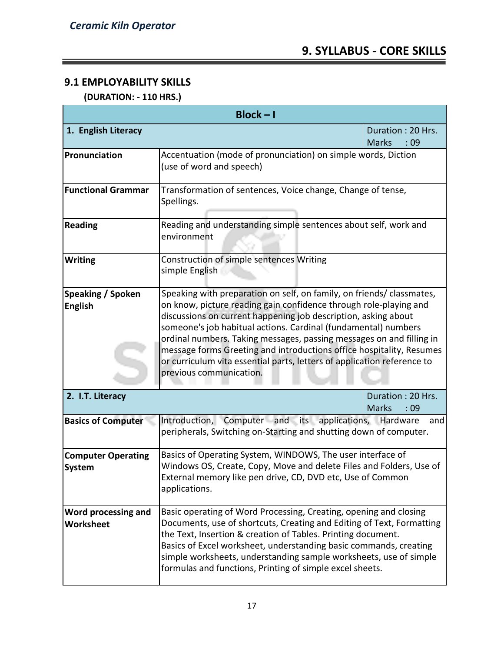### **9.1 EMPLOYABILITY SKILLS**

 **(DURATION: - 110 HRS.)**

| $Block - I$                                |                                                                                                                                                                                                                                                                                                                                                                                                                                                                                                                                      |                                           |  |  |  |  |  |  |  |
|--------------------------------------------|--------------------------------------------------------------------------------------------------------------------------------------------------------------------------------------------------------------------------------------------------------------------------------------------------------------------------------------------------------------------------------------------------------------------------------------------------------------------------------------------------------------------------------------|-------------------------------------------|--|--|--|--|--|--|--|
| 1. English Literacy                        |                                                                                                                                                                                                                                                                                                                                                                                                                                                                                                                                      | Duration: 20 Hrs.<br><b>Marks</b><br>:09  |  |  |  |  |  |  |  |
| Pronunciation                              | Accentuation (mode of pronunciation) on simple words, Diction<br>(use of word and speech)                                                                                                                                                                                                                                                                                                                                                                                                                                            |                                           |  |  |  |  |  |  |  |
| <b>Functional Grammar</b>                  | Transformation of sentences, Voice change, Change of tense,<br>Spellings.                                                                                                                                                                                                                                                                                                                                                                                                                                                            |                                           |  |  |  |  |  |  |  |
| <b>Reading</b>                             | Reading and understanding simple sentences about self, work and<br>environment                                                                                                                                                                                                                                                                                                                                                                                                                                                       |                                           |  |  |  |  |  |  |  |
| <b>Writing</b>                             | Construction of simple sentences Writing<br>simple English                                                                                                                                                                                                                                                                                                                                                                                                                                                                           |                                           |  |  |  |  |  |  |  |
| Speaking / Spoken<br><b>English</b>        | Speaking with preparation on self, on family, on friends/ classmates,<br>on know, picture reading gain confidence through role-playing and<br>discussions on current happening job description, asking about<br>someone's job habitual actions. Cardinal (fundamental) numbers<br>ordinal numbers. Taking messages, passing messages on and filling in<br>message forms Greeting and introductions office hospitality, Resumes<br>or curriculum vita essential parts, letters of application reference to<br>previous communication. |                                           |  |  |  |  |  |  |  |
| 2. I.T. Literacy                           |                                                                                                                                                                                                                                                                                                                                                                                                                                                                                                                                      | Duration: 20 Hrs.<br><b>Marks</b><br>: 09 |  |  |  |  |  |  |  |
| <b>Basics of Computer</b>                  | Introduction, Computer and its applications, Hardware<br>and<br>peripherals, Switching on-Starting and shutting down of computer.                                                                                                                                                                                                                                                                                                                                                                                                    |                                           |  |  |  |  |  |  |  |
| <b>Computer Operating</b><br><b>System</b> | Basics of Operating System, WINDOWS, The user interface of<br>Windows OS, Create, Copy, Move and delete Files and Folders, Use of<br>External memory like pen drive, CD, DVD etc, Use of Common<br>applications.                                                                                                                                                                                                                                                                                                                     |                                           |  |  |  |  |  |  |  |
| Word processing and<br>Worksheet           | Basic operating of Word Processing, Creating, opening and closing<br>Documents, use of shortcuts, Creating and Editing of Text, Formatting<br>the Text, Insertion & creation of Tables. Printing document.<br>Basics of Excel worksheet, understanding basic commands, creating<br>simple worksheets, understanding sample worksheets, use of simple<br>formulas and functions, Printing of simple excel sheets.                                                                                                                     |                                           |  |  |  |  |  |  |  |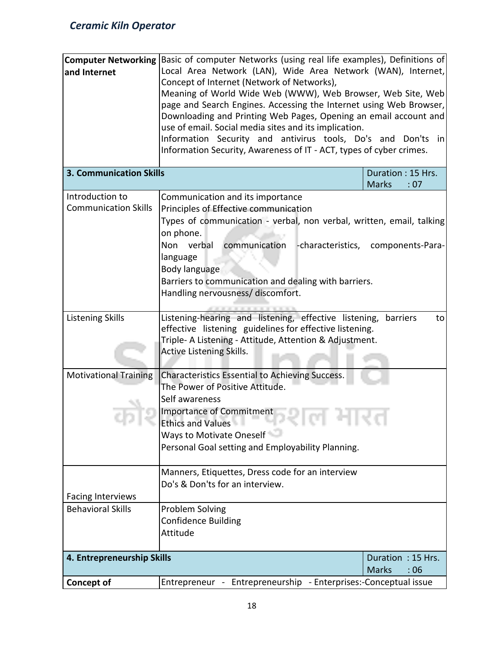| and Internet<br><b>3. Communication Skills</b> | Computer Networking Basic of computer Networks (using real life examples), Definitions of<br>Local Area Network (LAN), Wide Area Network (WAN), Internet,<br>Concept of Internet (Network of Networks),<br>Meaning of World Wide Web (WWW), Web Browser, Web Site, Web<br>page and Search Engines. Accessing the Internet using Web Browser,<br>Downloading and Printing Web Pages, Opening an email account and<br>use of email. Social media sites and its implication.<br>Information Security and antivirus tools, Do's and Don'ts in<br>Information Security, Awareness of IT - ACT, types of cyber crimes. |                                          |  |  |  |  |  |  |
|------------------------------------------------|------------------------------------------------------------------------------------------------------------------------------------------------------------------------------------------------------------------------------------------------------------------------------------------------------------------------------------------------------------------------------------------------------------------------------------------------------------------------------------------------------------------------------------------------------------------------------------------------------------------|------------------------------------------|--|--|--|--|--|--|
|                                                |                                                                                                                                                                                                                                                                                                                                                                                                                                                                                                                                                                                                                  | Duration: 15 Hrs.<br><b>Marks</b><br>:07 |  |  |  |  |  |  |
| Introduction to<br><b>Communication Skills</b> | Communication and its importance<br>Principles of Effective communication<br>Types of communication - verbal, non verbal, written, email, talking<br>on phone.<br>communication<br>Non verbal<br>language<br>Body language<br>Barriers to communication and dealing with barriers.<br>Handling nervousness/ discomfort.                                                                                                                                                                                                                                                                                          | -characteristics, components-Para-       |  |  |  |  |  |  |
| <b>Listening Skills</b>                        | Listening-hearing and listening, effective listening,<br>barriers<br>to<br>effective listening guidelines for effective listening.<br>Triple- A Listening - Attitude, Attention & Adjustment.<br>Active Listening Skills.                                                                                                                                                                                                                                                                                                                                                                                        |                                          |  |  |  |  |  |  |
| <b>Motivational Training</b>                   | Characteristics Essential to Achieving Success.<br>The Power of Positive Attitude.<br>Self awareness<br><b>Importance of Commitment</b><br><b>Ethics and Values</b><br><b>CONTRACTOR</b><br>Ways to Motivate Oneself<br>Personal Goal setting and Employability Planning.                                                                                                                                                                                                                                                                                                                                        |                                          |  |  |  |  |  |  |
| <b>Facing Interviews</b>                       | Manners, Etiquettes, Dress code for an interview<br>Do's & Don'ts for an interview.                                                                                                                                                                                                                                                                                                                                                                                                                                                                                                                              |                                          |  |  |  |  |  |  |
| <b>Behavioral Skills</b>                       | Problem Solving<br><b>Confidence Building</b><br>Attitude                                                                                                                                                                                                                                                                                                                                                                                                                                                                                                                                                        |                                          |  |  |  |  |  |  |
| 4. Entrepreneurship Skills                     |                                                                                                                                                                                                                                                                                                                                                                                                                                                                                                                                                                                                                  | Duration: 15 Hrs.<br><b>Marks</b><br>:06 |  |  |  |  |  |  |
| <b>Concept of</b>                              | Entrepreneur - Entrepreneurship - Enterprises:-Conceptual issue                                                                                                                                                                                                                                                                                                                                                                                                                                                                                                                                                  |                                          |  |  |  |  |  |  |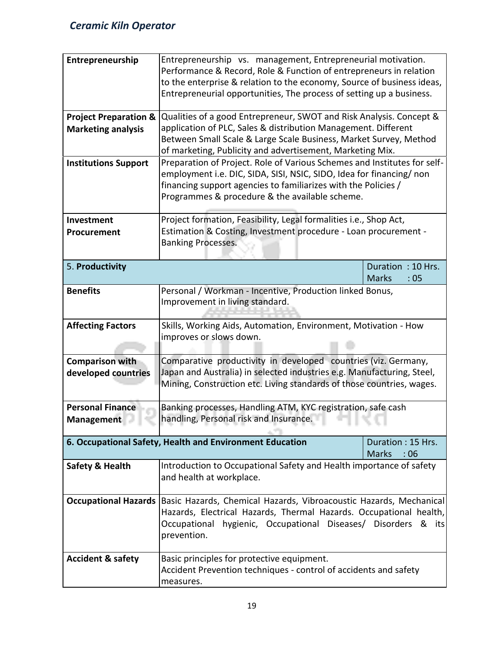| Entrepreneurship<br><b>Project Preparation &amp;</b><br><b>Marketing analysis</b><br><b>Institutions Support</b> | Entrepreneurship vs. management, Entrepreneurial motivation.<br>Performance & Record, Role & Function of entrepreneurs in relation<br>to the enterprise & relation to the economy, Source of business ideas,<br>Entrepreneurial opportunities, The process of setting up a business.<br>Qualities of a good Entrepreneur, SWOT and Risk Analysis. Concept &<br>application of PLC, Sales & distribution Management. Different<br>Between Small Scale & Large Scale Business, Market Survey, Method<br>of marketing, Publicity and advertisement, Marketing Mix.<br>Preparation of Project. Role of Various Schemes and Institutes for self-<br>employment i.e. DIC, SIDA, SISI, NSIC, SIDO, Idea for financing/ non<br>financing support agencies to familiarizes with the Policies /<br>Programmes & procedure & the available scheme. |                                                                 |  |  |  |  |  |  |
|------------------------------------------------------------------------------------------------------------------|-----------------------------------------------------------------------------------------------------------------------------------------------------------------------------------------------------------------------------------------------------------------------------------------------------------------------------------------------------------------------------------------------------------------------------------------------------------------------------------------------------------------------------------------------------------------------------------------------------------------------------------------------------------------------------------------------------------------------------------------------------------------------------------------------------------------------------------------|-----------------------------------------------------------------|--|--|--|--|--|--|
| Investment                                                                                                       | Project formation, Feasibility, Legal formalities i.e., Shop Act,                                                                                                                                                                                                                                                                                                                                                                                                                                                                                                                                                                                                                                                                                                                                                                       |                                                                 |  |  |  |  |  |  |
| Procurement                                                                                                      | Estimation & Costing, Investment procedure - Loan procurement -<br><b>Banking Processes.</b>                                                                                                                                                                                                                                                                                                                                                                                                                                                                                                                                                                                                                                                                                                                                            |                                                                 |  |  |  |  |  |  |
| 5. Productivity                                                                                                  |                                                                                                                                                                                                                                                                                                                                                                                                                                                                                                                                                                                                                                                                                                                                                                                                                                         | Duration: 10 Hrs.<br><b>Marks</b><br>:05                        |  |  |  |  |  |  |
| <b>Benefits</b>                                                                                                  | Personal / Workman - Incentive, Production linked Bonus,<br>Improvement in living standard.                                                                                                                                                                                                                                                                                                                                                                                                                                                                                                                                                                                                                                                                                                                                             |                                                                 |  |  |  |  |  |  |
| <b>Affecting Factors</b>                                                                                         | improves or slows down.                                                                                                                                                                                                                                                                                                                                                                                                                                                                                                                                                                                                                                                                                                                                                                                                                 | Skills, Working Aids, Automation, Environment, Motivation - How |  |  |  |  |  |  |
| <b>Comparison with</b><br>developed countries                                                                    | Comparative productivity in developed countries (viz. Germany,<br>Japan and Australia) in selected industries e.g. Manufacturing, Steel,<br>Mining, Construction etc. Living standards of those countries, wages.                                                                                                                                                                                                                                                                                                                                                                                                                                                                                                                                                                                                                       |                                                                 |  |  |  |  |  |  |
| <b>Personal Finance</b><br>Management                                                                            | Banking processes, Handling ATM, KYC registration, safe cash<br><b>A. handling, Personal risk and Insurance.</b>                                                                                                                                                                                                                                                                                                                                                                                                                                                                                                                                                                                                                                                                                                                        |                                                                 |  |  |  |  |  |  |
|                                                                                                                  | 6. Occupational Safety, Health and Environment Education                                                                                                                                                                                                                                                                                                                                                                                                                                                                                                                                                                                                                                                                                                                                                                                | Duration: 15 Hrs.<br><b>Marks</b><br>:06                        |  |  |  |  |  |  |
| Safety & Health                                                                                                  | Introduction to Occupational Safety and Health importance of safety<br>and health at workplace.                                                                                                                                                                                                                                                                                                                                                                                                                                                                                                                                                                                                                                                                                                                                         |                                                                 |  |  |  |  |  |  |
|                                                                                                                  | Occupational Hazards   Basic Hazards, Chemical Hazards, Vibroacoustic Hazards, Mechanical<br>Hazards, Electrical Hazards, Thermal Hazards. Occupational health,<br>Occupational hygienic, Occupational Diseases/ Disorders & its<br>prevention.                                                                                                                                                                                                                                                                                                                                                                                                                                                                                                                                                                                         |                                                                 |  |  |  |  |  |  |
| <b>Accident &amp; safety</b>                                                                                     | Basic principles for protective equipment.<br>Accident Prevention techniques - control of accidents and safety<br>measures.                                                                                                                                                                                                                                                                                                                                                                                                                                                                                                                                                                                                                                                                                                             |                                                                 |  |  |  |  |  |  |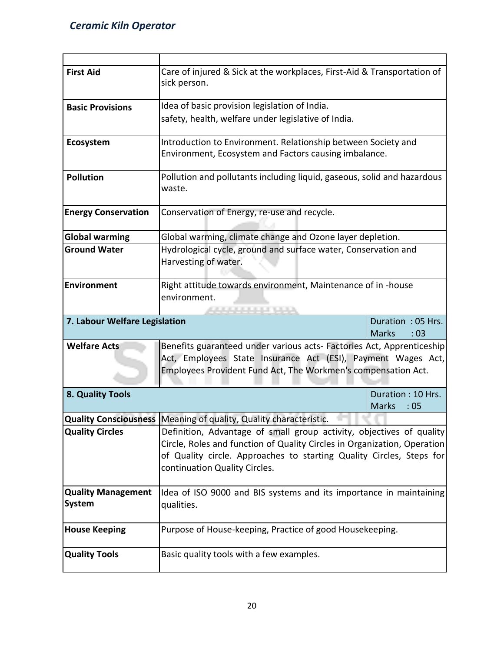| <b>First Aid</b>              | Care of injured & Sick at the workplaces, First-Aid & Transportation of           |                                          |  |  |  |  |  |  |  |
|-------------------------------|-----------------------------------------------------------------------------------|------------------------------------------|--|--|--|--|--|--|--|
|                               | sick person.                                                                      |                                          |  |  |  |  |  |  |  |
| <b>Basic Provisions</b>       | Idea of basic provision legislation of India.                                     |                                          |  |  |  |  |  |  |  |
|                               | safety, health, welfare under legislative of India.                               |                                          |  |  |  |  |  |  |  |
|                               |                                                                                   |                                          |  |  |  |  |  |  |  |
| Ecosystem                     | Introduction to Environment. Relationship between Society and                     |                                          |  |  |  |  |  |  |  |
|                               | Environment, Ecosystem and Factors causing imbalance.                             |                                          |  |  |  |  |  |  |  |
|                               |                                                                                   |                                          |  |  |  |  |  |  |  |
| <b>Pollution</b>              | Pollution and pollutants including liquid, gaseous, solid and hazardous<br>waste. |                                          |  |  |  |  |  |  |  |
|                               |                                                                                   |                                          |  |  |  |  |  |  |  |
| <b>Energy Conservation</b>    | Conservation of Energy, re-use and recycle.                                       |                                          |  |  |  |  |  |  |  |
|                               |                                                                                   |                                          |  |  |  |  |  |  |  |
| <b>Global warming</b>         | Global warming, climate change and Ozone layer depletion.                         |                                          |  |  |  |  |  |  |  |
| <b>Ground Water</b>           | Hydrological cycle, ground and surface water, Conservation and                    |                                          |  |  |  |  |  |  |  |
|                               | Harvesting of water.                                                              |                                          |  |  |  |  |  |  |  |
|                               |                                                                                   |                                          |  |  |  |  |  |  |  |
| <b>Environment</b>            | Right attitude towards environment, Maintenance of in -house<br>environment.      |                                          |  |  |  |  |  |  |  |
|                               | <b>CONDEDITION</b>                                                                |                                          |  |  |  |  |  |  |  |
| 7. Labour Welfare Legislation | Duration: 05 Hrs.                                                                 |                                          |  |  |  |  |  |  |  |
|                               |                                                                                   | <b>Marks</b><br>: 03                     |  |  |  |  |  |  |  |
| <b>Welfare Acts</b>           | Benefits guaranteed under various acts- Factories Act, Apprenticeship             |                                          |  |  |  |  |  |  |  |
|                               | Act, Employees State Insurance Act (ESI), Payment Wages Act,                      |                                          |  |  |  |  |  |  |  |
|                               | Employees Provident Fund Act, The Workmen's compensation Act.                     |                                          |  |  |  |  |  |  |  |
|                               |                                                                                   |                                          |  |  |  |  |  |  |  |
| 8. Quality Tools              |                                                                                   | Duration: 10 Hrs.<br><b>Marks</b><br>:05 |  |  |  |  |  |  |  |
|                               | Quality Consciousness   Meaning of quality, Quality characteristic.               |                                          |  |  |  |  |  |  |  |
| <b>Quality Circles</b>        | Definition, Advantage of small group activity, objectives of quality              |                                          |  |  |  |  |  |  |  |
|                               | Circle, Roles and function of Quality Circles in Organization, Operation          |                                          |  |  |  |  |  |  |  |
|                               | of Quality circle. Approaches to starting Quality Circles, Steps for              |                                          |  |  |  |  |  |  |  |
|                               | continuation Quality Circles.                                                     |                                          |  |  |  |  |  |  |  |
|                               |                                                                                   |                                          |  |  |  |  |  |  |  |
|                               |                                                                                   |                                          |  |  |  |  |  |  |  |
| <b>Quality Management</b>     | Idea of ISO 9000 and BIS systems and its importance in maintaining                |                                          |  |  |  |  |  |  |  |
| <b>System</b>                 | qualities.                                                                        |                                          |  |  |  |  |  |  |  |
|                               |                                                                                   |                                          |  |  |  |  |  |  |  |
| <b>House Keeping</b>          | Purpose of House-keeping, Practice of good Housekeeping.                          |                                          |  |  |  |  |  |  |  |
|                               |                                                                                   |                                          |  |  |  |  |  |  |  |
| <b>Quality Tools</b>          | Basic quality tools with a few examples.                                          |                                          |  |  |  |  |  |  |  |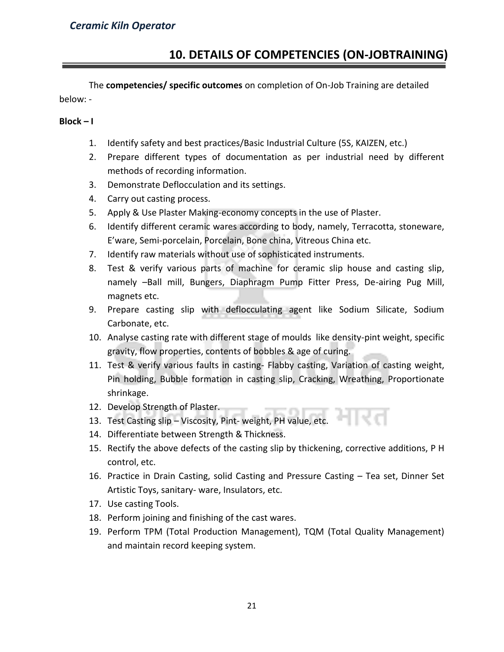### **10. DETAILS OF COMPETENCIES (ON-JOBTRAINING)**

The **competencies/ specific outcomes** on completion of On-Job Training are detailed below: -

### **Block – I**

- 1. Identify safety and best practices/Basic Industrial Culture (5S, KAIZEN, etc.)
- 2. Prepare different types of documentation as per industrial need by different methods of recording information.
- 3. Demonstrate Deflocculation and its settings.
- 4. Carry out casting process.
- 5. Apply & Use Plaster Making-economy concepts in the use of Plaster.
- 6. Identify different ceramic wares according to body, namely, Terracotta, stoneware, E'ware, Semi-porcelain, Porcelain, Bone china, Vitreous China etc.
- 7. Identify raw materials without use of sophisticated instruments.
- 8. Test & verify various parts of machine for ceramic slip house and casting slip, namely –Ball mill, Bungers, Diaphragm Pump Fitter Press, De-airing Pug Mill, magnets etc.
- 9. Prepare casting slip with deflocculating agent like Sodium Silicate, Sodium Carbonate, etc.
- 10. Analyse casting rate with different stage of moulds like density-pint weight, specific gravity, flow properties, contents of bobbles & age of curing.
- 11. Test & verify various faults in casting- Flabby casting, Variation of casting weight, Pin holding, Bubble formation in casting slip, Cracking, Wreathing, Proportionate shrinkage.
- 12. Develop Strength of Plaster.
- 13. Test Casting slip Viscosity, Pint- weight, PH value, etc.
- 14. Differentiate between Strength & Thickness.
- 15. Rectify the above defects of the casting slip by thickening, corrective additions, P H control, etc.
- 16. Practice in Drain Casting, solid Casting and Pressure Casting Tea set, Dinner Set Artistic Toys, sanitary- ware, Insulators, etc.
- 17. Use casting Tools.
- 18. Perform joining and finishing of the cast wares.
- 19. Perform TPM (Total Production Management), TQM (Total Quality Management) and maintain record keeping system.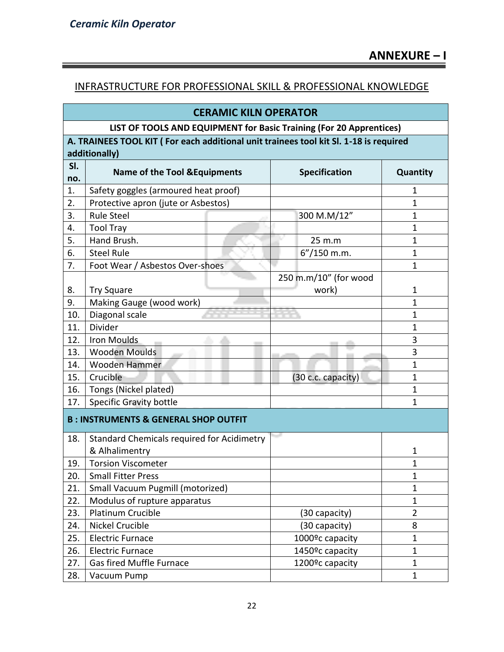### INFRASTRUCTURE FOR PROFESSIONAL SKILL & PROFESSIONAL KNOWLEDGE

| <b>CERAMIC KILN OPERATOR</b>                                        |                                                                                       |                                |              |                              |                |  |  |  |  |  |  |
|---------------------------------------------------------------------|---------------------------------------------------------------------------------------|--------------------------------|--------------|------------------------------|----------------|--|--|--|--|--|--|
| LIST OF TOOLS AND EQUIPMENT for Basic Training (For 20 Apprentices) |                                                                                       |                                |              |                              |                |  |  |  |  |  |  |
|                                                                     | A. TRAINEES TOOL KIT (For each additional unit trainees tool kit Sl. 1-18 is required |                                |              |                              |                |  |  |  |  |  |  |
|                                                                     | additionally)                                                                         |                                |              |                              |                |  |  |  |  |  |  |
| SI.                                                                 | <b>Name of the Tool &amp; Equipments</b>                                              |                                |              | <b>Specification</b>         | Quantity       |  |  |  |  |  |  |
| no.                                                                 |                                                                                       |                                |              |                              |                |  |  |  |  |  |  |
| 1.                                                                  | Safety goggles (armoured heat proof)                                                  |                                |              |                              | 1              |  |  |  |  |  |  |
| 2.                                                                  | Protective apron (jute or Asbestos)                                                   |                                |              |                              | 1              |  |  |  |  |  |  |
| 3.                                                                  | <b>Rule Steel</b>                                                                     |                                |              | 300 M.M/12"                  | 1              |  |  |  |  |  |  |
| 4.                                                                  | <b>Tool Tray</b>                                                                      |                                |              |                              | 1              |  |  |  |  |  |  |
| 5.                                                                  | Hand Brush.                                                                           |                                |              | 25 m.m                       | 1              |  |  |  |  |  |  |
| 6.                                                                  | <b>Steel Rule</b>                                                                     |                                |              | $6''/150$ m.m.               | $\mathbf{1}$   |  |  |  |  |  |  |
| 7.                                                                  | Foot Wear / Asbestos Over-shoes                                                       |                                |              |                              | $\mathbf{1}$   |  |  |  |  |  |  |
|                                                                     |                                                                                       | 250 m.m/10" (for wood<br>work) |              |                              |                |  |  |  |  |  |  |
| 8.                                                                  | <b>Try Square</b>                                                                     | $\mathbf 1$                    |              |                              |                |  |  |  |  |  |  |
| 9.                                                                  | Making Gauge (wood work)                                                              |                                | $\mathbf{1}$ |                              |                |  |  |  |  |  |  |
| 10.                                                                 | Diagonal scale                                                                        | $\overline{1}$                 |              |                              |                |  |  |  |  |  |  |
| 11.                                                                 | Divider                                                                               |                                |              |                              | $\mathbf{1}$   |  |  |  |  |  |  |
| 12.                                                                 | Iron Moulds                                                                           |                                |              |                              | 3              |  |  |  |  |  |  |
| 13.                                                                 | <b>Wooden Moulds</b>                                                                  |                                |              |                              | 3              |  |  |  |  |  |  |
| 14.                                                                 | Wooden Hammer                                                                         |                                |              |                              | $\mathbf{1}$   |  |  |  |  |  |  |
| 15.                                                                 | Crucible                                                                              |                                |              | (30 c.c. capacity)           | $\mathbf{1}$   |  |  |  |  |  |  |
| 16.                                                                 | Tongs (Nickel plated)                                                                 |                                |              |                              | $\mathbf{1}$   |  |  |  |  |  |  |
| 17.                                                                 | <b>Specific Gravity bottle</b>                                                        |                                |              |                              | 1              |  |  |  |  |  |  |
|                                                                     | <b>B: INSTRUMENTS &amp; GENERAL SHOP OUTFIT</b>                                       |                                |              |                              |                |  |  |  |  |  |  |
| 18.                                                                 | <b>Standard Chemicals required for Acidimetry</b>                                     |                                |              |                              |                |  |  |  |  |  |  |
|                                                                     | & Alhalimentry                                                                        |                                |              |                              | 1              |  |  |  |  |  |  |
| 19.                                                                 | <b>Torsion Viscometer</b>                                                             |                                |              |                              | 1              |  |  |  |  |  |  |
| 20.                                                                 | <b>Small Fitter Press</b>                                                             |                                |              |                              | 1              |  |  |  |  |  |  |
| 21.                                                                 | <b>Small Vacuum Pugmill (motorized)</b>                                               |                                |              |                              | $\mathbf{1}$   |  |  |  |  |  |  |
| 22.                                                                 | Modulus of rupture apparatus                                                          |                                |              |                              | $\mathbf{1}$   |  |  |  |  |  |  |
| 23.                                                                 | Platinum Crucible                                                                     |                                |              | (30 capacity)                | $\overline{2}$ |  |  |  |  |  |  |
| 24.                                                                 | <b>Nickel Crucible</b>                                                                |                                |              | (30 capacity)                | 8              |  |  |  |  |  |  |
| 25.                                                                 | <b>Electric Furnace</b>                                                               |                                |              | 1000 <sup>o</sup> c capacity | $\mathbf{1}$   |  |  |  |  |  |  |
| 26.                                                                 | <b>Electric Furnace</b>                                                               |                                |              | 1450 <sup>o</sup> c capacity | $\mathbf{1}$   |  |  |  |  |  |  |
| 27.                                                                 | Gas fired Muffle Furnace                                                              |                                |              | 1200 <sup>o</sup> c capacity | $\mathbf{1}$   |  |  |  |  |  |  |
| 28.                                                                 | Vacuum Pump<br>1                                                                      |                                |              |                              |                |  |  |  |  |  |  |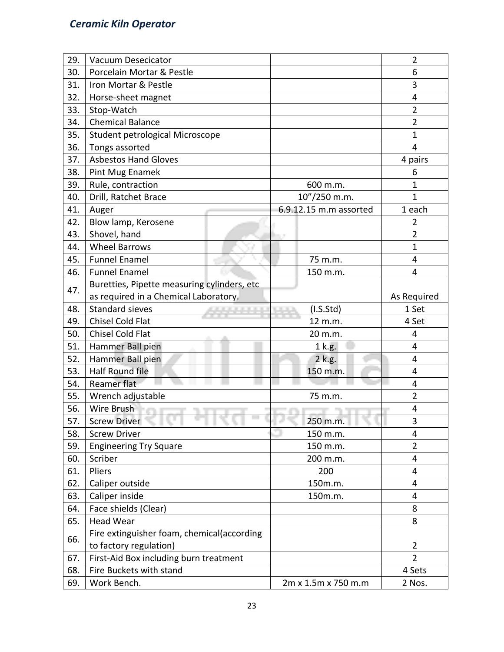| 29. | <b>Vacuum Desecicator</b>                   |                        | $\overline{2}$ |
|-----|---------------------------------------------|------------------------|----------------|
| 30. | Porcelain Mortar & Pestle                   |                        | 6              |
| 31. | Iron Mortar & Pestle                        |                        | 3              |
| 32. | Horse-sheet magnet                          |                        | 4              |
| 33. | Stop-Watch                                  |                        | $\overline{2}$ |
| 34. | <b>Chemical Balance</b>                     |                        | $\overline{2}$ |
| 35. | Student petrological Microscope             |                        | $\mathbf{1}$   |
| 36. | Tongs assorted                              |                        | 4              |
| 37. | <b>Asbestos Hand Gloves</b>                 |                        | 4 pairs        |
| 38. | Pint Mug Enamek                             |                        | 6              |
| 39. | Rule, contraction                           | 600 m.m.               | $\mathbf 1$    |
| 40. | Drill, Ratchet Brace                        | 10"/250 m.m.           | $\overline{1}$ |
| 41. | Auger                                       | 6.9.12.15 m.m assorted | 1 each         |
| 42. | Blow lamp, Kerosene                         |                        | 2              |
| 43. | Shovel, hand                                |                        | $\overline{2}$ |
| 44. | <b>Wheel Barrows</b>                        |                        | $\mathbf{1}$   |
| 45. | <b>Funnel Enamel</b>                        | 75 m.m.                | 4              |
| 46. | <b>Funnel Enamel</b>                        | 150 m.m.               | 4              |
| 47. | Buretties, Pipette measuring cylinders, etc |                        |                |
|     | as required in a Chemical Laboratory.       |                        | As Required    |
| 48. | <b>Standard sieves</b>                      | (I.S.Std)              | 1 Set          |
| 49. | <b>Chisel Cold Flat</b>                     | 12 m.m.                | 4 Set          |
| 50. | Chisel Cold Flat                            | 20 m.m.                | 4              |
| 51. | Hammer Ball pien                            | 1 k.g.                 | 4              |
| 52. | Hammer Ball pien                            | 2 k.g.                 | 4              |
| 53. | <b>Half Round file</b>                      | 150 m.m.               | 4              |
| 54. | Reamer flat                                 |                        | 4              |
| 55. | Wrench adjustable                           | 75 m.m.                | 2              |
| 56. | Wire Brush                                  |                        | 4              |
| 57. | <b>Screw Driver</b>                         | 250 m.m.               | 3              |
| 58. | <b>Screw Driver</b>                         | 150 m.m.               | 4              |
| 59. | <b>Engineering Try Square</b>               | 150 m.m.               | $\overline{2}$ |
| 60. | Scriber                                     | 200 m.m.               | 4              |
| 61. | Pliers                                      | 200                    | 4              |
| 62. | Caliper outside                             | 150m.m.                | 4              |
| 63. | Caliper inside                              | 150m.m.                | 4              |
| 64. | Face shields (Clear)                        |                        | 8              |
| 65. | <b>Head Wear</b>                            |                        | 8              |
|     | Fire extinguisher foam, chemical(according  |                        |                |
| 66. | to factory regulation)                      |                        | 2              |
| 67. | First-Aid Box including burn treatment      |                        | $\overline{2}$ |
| 68. | Fire Buckets with stand                     |                        | 4 Sets         |
| 69. | Work Bench.                                 | 2m x 1.5m x 750 m.m    | 2 Nos.         |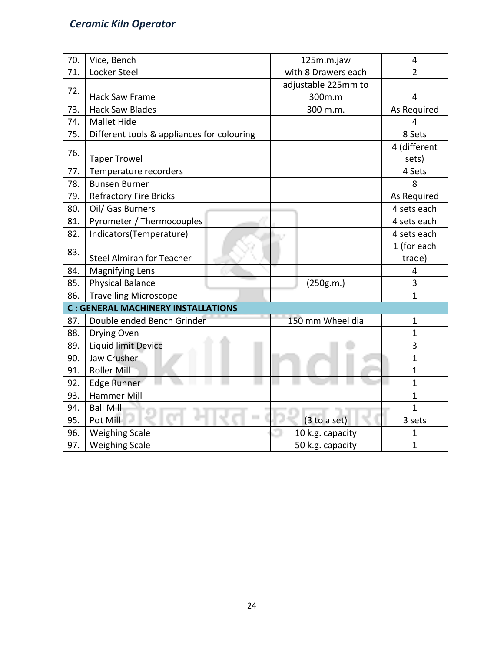### *Ceramic Kiln Operator*

| 70. | Vice, Bench                                |  |  | 125m.m.jaw          |                     | 4<br>$\overline{2}$ |  |  |  |
|-----|--------------------------------------------|--|--|---------------------|---------------------|---------------------|--|--|--|
| 71. | Locker Steel                               |  |  |                     | with 8 Drawers each |                     |  |  |  |
| 72. |                                            |  |  | adjustable 225mm to |                     |                     |  |  |  |
|     | <b>Hack Saw Frame</b>                      |  |  | 300m.m              | 4                   |                     |  |  |  |
| 73. | <b>Hack Saw Blades</b>                     |  |  | 300 m.m.            |                     | As Required         |  |  |  |
| 74. | <b>Mallet Hide</b>                         |  |  |                     |                     | 4                   |  |  |  |
| 75. | Different tools & appliances for colouring |  |  |                     |                     | 8 Sets              |  |  |  |
| 76. |                                            |  |  |                     |                     | 4 (different        |  |  |  |
|     | <b>Taper Trowel</b>                        |  |  |                     |                     | sets)               |  |  |  |
| 77. | Temperature recorders                      |  |  |                     |                     | 4 Sets              |  |  |  |
| 78. | <b>Bunsen Burner</b>                       |  |  |                     |                     | 8                   |  |  |  |
| 79. | <b>Refractory Fire Bricks</b>              |  |  |                     |                     | As Required         |  |  |  |
| 80. | Oil/ Gas Burners                           |  |  |                     |                     | 4 sets each         |  |  |  |
| 81. | Pyrometer / Thermocouples                  |  |  |                     |                     | 4 sets each         |  |  |  |
| 82. | Indicators(Temperature)                    |  |  |                     |                     | 4 sets each         |  |  |  |
| 83. |                                            |  |  |                     |                     | 1 (for each         |  |  |  |
|     | <b>Steel Almirah for Teacher</b>           |  |  |                     |                     | trade)              |  |  |  |
| 84. | <b>Magnifying Lens</b>                     |  |  |                     |                     | 4                   |  |  |  |
| 85. | <b>Physical Balance</b>                    |  |  | (250g.m.)           |                     | 3                   |  |  |  |
| 86. | <b>Travelling Microscope</b>               |  |  |                     |                     | 1                   |  |  |  |
|     | <b>C: GENERAL MACHINERY INSTALLATIONS</b>  |  |  |                     |                     |                     |  |  |  |
| 87. | Double ended Bench Grinder                 |  |  | 150 mm Wheel dia    |                     | $\mathbf{1}$        |  |  |  |
| 88. | Drying Oven                                |  |  |                     |                     | 1                   |  |  |  |
| 89. | Liquid limit Device                        |  |  |                     |                     | 3                   |  |  |  |
| 90. | Jaw Crusher                                |  |  |                     |                     | 1                   |  |  |  |
| 91. | Roller Mill                                |  |  |                     |                     | $\mathbf{1}$        |  |  |  |
| 92. | Edge Runner                                |  |  |                     |                     | $\mathbf{1}$        |  |  |  |
| 93. | <b>Hammer Mill</b>                         |  |  |                     |                     | $\overline{1}$      |  |  |  |
| 94. | <b>Ball Mill</b>                           |  |  |                     |                     | $\mathbf{1}$        |  |  |  |
| 95. | Pot Mill                                   |  |  | (3 to a set)        |                     | 3 sets              |  |  |  |
| 96. | <b>Weighing Scale</b>                      |  |  | 10 k.g. capacity    |                     | 1                   |  |  |  |
| 97. | <b>Weighing Scale</b>                      |  |  | 50 k.g. capacity    |                     | 1                   |  |  |  |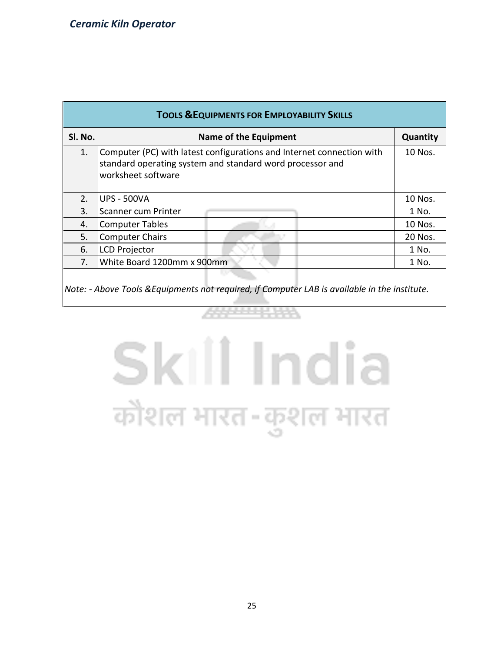| <b>TOOLS &amp; EQUIPMENTS FOR EMPLOYABILITY SKILLS</b> |                                                                                                                                                          |          |  |  |  |  |  |  |
|--------------------------------------------------------|----------------------------------------------------------------------------------------------------------------------------------------------------------|----------|--|--|--|--|--|--|
| SI. No.                                                | Name of the Equipment                                                                                                                                    | Quantity |  |  |  |  |  |  |
| 1.                                                     | Computer (PC) with latest configurations and Internet connection with<br>standard operating system and standard word processor and<br>worksheet software |          |  |  |  |  |  |  |
| 2.                                                     | UPS - 500VA                                                                                                                                              | 10 Nos.  |  |  |  |  |  |  |
| 3.                                                     | Scanner cum Printer                                                                                                                                      | 1 No.    |  |  |  |  |  |  |
| 4.                                                     | Computer Tables                                                                                                                                          | 10 Nos.  |  |  |  |  |  |  |
| 5.                                                     | <b>Computer Chairs</b>                                                                                                                                   | 20 Nos.  |  |  |  |  |  |  |
| 6.                                                     | <b>LCD Projector</b>                                                                                                                                     | 1 No.    |  |  |  |  |  |  |
| $7_{\cdot}$                                            | White Board 1200mm x 900mm                                                                                                                               | 1 No.    |  |  |  |  |  |  |
|                                                        |                                                                                                                                                          |          |  |  |  |  |  |  |

*Note: - Above Tools &Equipments not required, if Computer LAB is available in the institute.*

# Skill India कौशल भारत-कुशल भारत